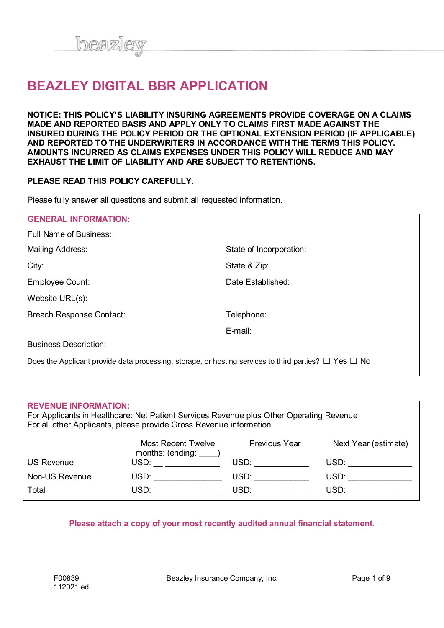

# **BEAZLEY DIGITAL BBR APPLICATION**

**NOTICE: THIS POLICY'S LIABILITY INSURING AGREEMENTS PROVIDE COVERAGE ON A CLAIMS MADE AND REPORTED BASIS AND APPLY ONLY TO CLAIMS FIRST MADE AGAINST THE INSURED DURING THE POLICY PERIOD OR THE OPTIONAL EXTENSION PERIOD (IF APPLICABLE) AND REPORTED TO THE UNDERWRITERS IN ACCORDANCE WITH THE TERMS THIS POLICY. AMOUNTS INCURRED AS CLAIMS EXPENSES UNDER THIS POLICY WILL REDUCE AND MAY EXHAUST THE LIMIT OF LIABILITY AND ARE SUBJECT TO RETENTIONS.**

#### **PLEASE READ THIS POLICY CAREFULLY.**

Please fully answer all questions and submit all requested information.

| <b>GENERAL INFORMATION:</b>                                                                                     |                         |
|-----------------------------------------------------------------------------------------------------------------|-------------------------|
| Full Name of Business:                                                                                          |                         |
| Mailing Address:                                                                                                | State of Incorporation: |
| City:                                                                                                           | State & Zip:            |
| Employee Count:                                                                                                 | Date Established:       |
| Website URL(s):                                                                                                 |                         |
| <b>Breach Response Contact:</b>                                                                                 | Telephone:              |
|                                                                                                                 | E-mail:                 |
| <b>Business Description:</b>                                                                                    |                         |
| Does the Applicant provide data processing, storage, or hosting services to third parties? $\Box$ Yes $\Box$ No |                         |

#### **REVENUE INFORMATION:**

For Applicants in Healthcare: Net Patient Services Revenue plus Other Operating Revenue For all other Applicants, please provide Gross Revenue information.

|                | Most Recent Twelve<br>months: (ending: | Previous Year | Next Year (estimate) |
|----------------|----------------------------------------|---------------|----------------------|
| US Revenue     | USD: -                                 | USD:          | USD:                 |
| Non-US Revenue | USD:                                   | USD:          | USD:                 |
| Total          | USD:                                   | USD:          | USD:                 |

#### **Please attach a copy of your most recently audited annual financial statement.**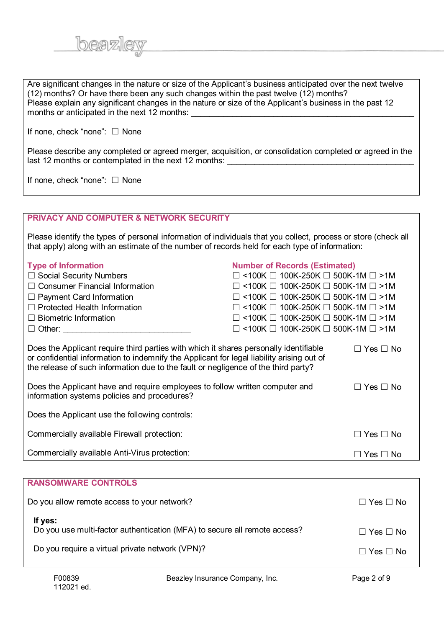| Are significant changes in the nature or size of the Applicant's business anticipated over the next twelve<br>(12) months? Or have there been any such changes within the past twelve (12) months?<br>Please explain any significant changes in the nature or size of the Applicant's business in the past 12<br>months or anticipated in the next 12 months: |                                                         |                      |
|---------------------------------------------------------------------------------------------------------------------------------------------------------------------------------------------------------------------------------------------------------------------------------------------------------------------------------------------------------------|---------------------------------------------------------|----------------------|
| If none, check "none": $\Box$ None                                                                                                                                                                                                                                                                                                                            |                                                         |                      |
| Please describe any completed or agreed merger, acquisition, or consolidation completed or agreed in the<br>last 12 months or contemplated in the next 12 months: __________________________                                                                                                                                                                  |                                                         |                      |
| If none, check "none": $\Box$ None                                                                                                                                                                                                                                                                                                                            |                                                         |                      |
|                                                                                                                                                                                                                                                                                                                                                               |                                                         |                      |
| <b>PRIVACY AND COMPUTER &amp; NETWORK SECURITY</b>                                                                                                                                                                                                                                                                                                            |                                                         |                      |
| Please identify the types of personal information of individuals that you collect, process or store (check all<br>that apply) along with an estimate of the number of records held for each type of information:                                                                                                                                              |                                                         |                      |
| <b>Type of Information</b>                                                                                                                                                                                                                                                                                                                                    | <b>Number of Records (Estimated)</b>                    |                      |
| $\Box$ Social Security Numbers                                                                                                                                                                                                                                                                                                                                | $\Box$ <100K $\Box$ 100K-250K $\Box$ 500K-1M $\Box$ >1M |                      |
| $\Box$ Consumer Financial Information                                                                                                                                                                                                                                                                                                                         | $\Box$ <100K $\Box$ 100K-250K $\Box$ 500K-1M $\Box$ >1M |                      |
| $\Box$ Payment Card Information                                                                                                                                                                                                                                                                                                                               | $\Box$ <100K $\Box$ 100K-250K $\Box$ 500K-1M $\Box$ >1M |                      |
| $\Box$ Protected Health Information                                                                                                                                                                                                                                                                                                                           | $\Box$ <100K $\Box$ 100K-250K $\Box$ 500K-1M $\Box$ >1M |                      |
| $\Box$ Biometric Information                                                                                                                                                                                                                                                                                                                                  | $\Box$ <100K $\Box$ 100K-250K $\Box$ 500K-1M $\Box$ >1M |                      |
| $\Box$ Other:                                                                                                                                                                                                                                                                                                                                                 | $\Box$ <100K $\Box$ 100K-250K $\Box$ 500K-1M $\Box$ >1M |                      |
|                                                                                                                                                                                                                                                                                                                                                               |                                                         |                      |
| Does the Applicant require third parties with which it shares personally identifiable<br>or confidential information to indemnify the Applicant for legal liability arising out of<br>the release of such information due to the fault or negligence of the third party?                                                                                      |                                                         | $\Box$ Yes $\Box$ No |
| Does the Applicant have and require employees to follow written computer and<br>information systems policies and procedures?                                                                                                                                                                                                                                  |                                                         | $\Box$ Yes $\Box$ No |
| Does the Applicant use the following controls:                                                                                                                                                                                                                                                                                                                |                                                         |                      |
| Commercially available Firewall protection:                                                                                                                                                                                                                                                                                                                   |                                                         | $\Box$ Yes $\Box$ No |
| Commercially available Anti-Virus protection:                                                                                                                                                                                                                                                                                                                 |                                                         | $\Box$ Yes $\Box$ No |
|                                                                                                                                                                                                                                                                                                                                                               |                                                         |                      |
| <b>RANSOMWARE CONTROLS</b>                                                                                                                                                                                                                                                                                                                                    |                                                         |                      |
| Do you allow remote access to your network?                                                                                                                                                                                                                                                                                                                   |                                                         | $\Box$ Yes $\Box$ No |

| If yes:<br>Do you use multi-factor authentication (MFA) to secure all remote access? | $\Box$ Yes $\Box$ No |
|--------------------------------------------------------------------------------------|----------------------|
| Do you require a virtual private network (VPN)?                                      | $\Box$ Yes $\Box$ No |

beazley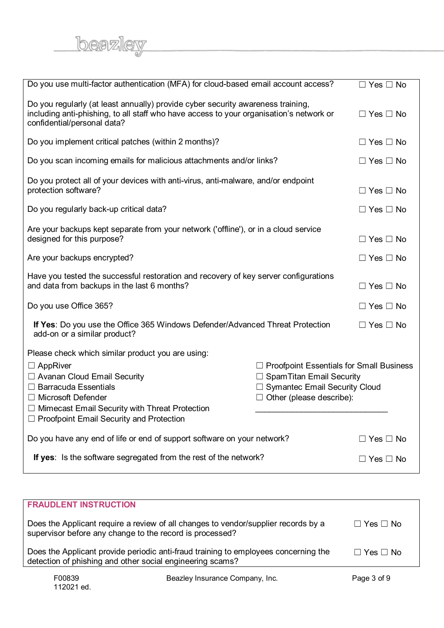<u>beazley</u>

| Do you use multi-factor authentication (MFA) for cloud-based email account access?                                                                                                                                                                                       |                                                                                                                                                           | $\Box$ Yes $\Box$ No |
|--------------------------------------------------------------------------------------------------------------------------------------------------------------------------------------------------------------------------------------------------------------------------|-----------------------------------------------------------------------------------------------------------------------------------------------------------|----------------------|
| Do you regularly (at least annually) provide cyber security awareness training,<br>including anti-phishing, to all staff who have access to your organisation's network or<br>confidential/personal data?                                                                |                                                                                                                                                           | $\Box$ Yes $\Box$ No |
| Do you implement critical patches (within 2 months)?                                                                                                                                                                                                                     |                                                                                                                                                           | $\Box$ Yes $\Box$ No |
| Do you scan incoming emails for malicious attachments and/or links?                                                                                                                                                                                                      |                                                                                                                                                           | $\Box$ Yes $\Box$ No |
| Do you protect all of your devices with anti-virus, anti-malware, and/or endpoint<br>protection software?                                                                                                                                                                |                                                                                                                                                           | $\Box$ Yes $\Box$ No |
| Do you regularly back-up critical data?                                                                                                                                                                                                                                  |                                                                                                                                                           | $\Box$ Yes $\Box$ No |
| Are your backups kept separate from your network ('offline'), or in a cloud service<br>designed for this purpose?                                                                                                                                                        |                                                                                                                                                           | $\Box$ Yes $\Box$ No |
| Are your backups encrypted?                                                                                                                                                                                                                                              |                                                                                                                                                           | $\Box$ Yes $\Box$ No |
| Have you tested the successful restoration and recovery of key server configurations<br>and data from backups in the last 6 months?                                                                                                                                      |                                                                                                                                                           | $\Box$ Yes $\Box$ No |
| Do you use Office 365?                                                                                                                                                                                                                                                   |                                                                                                                                                           | $\Box$ Yes $\Box$ No |
| If Yes: Do you use the Office 365 Windows Defender/Advanced Threat Protection<br>add-on or a similar product?                                                                                                                                                            |                                                                                                                                                           | $\Box$ Yes $\Box$ No |
| Please check which similar product you are using:<br>$\Box$ AppRiver<br>□ Avanan Cloud Email Security<br>$\Box$ Barracuda Essentials<br>□ Microsoft Defender<br>$\Box$ Mimecast Email Security with Threat Protection<br>$\Box$ Proofpoint Email Security and Protection | $\Box$ Proofpoint Essentials for Small Business<br>$\Box$ Spam Titan Email Security<br>□ Symantec Email Security Cloud<br>$\Box$ Other (please describe): |                      |
| Do you have any end of life or end of support software on your network?                                                                                                                                                                                                  |                                                                                                                                                           | $\Box$ Yes $\Box$ No |
| If yes: Is the software segregated from the rest of the network?                                                                                                                                                                                                         |                                                                                                                                                           | $\Box$ Yes $\Box$ No |

| <b>FRAUDLENT INSTRUCTION</b>                                                                                                                     |                      |
|--------------------------------------------------------------------------------------------------------------------------------------------------|----------------------|
| Does the Applicant require a review of all changes to vendor/supplier records by a<br>supervisor before any change to the record is processed?   | $\Box$ Yes $\Box$ No |
| Does the Applicant provide periodic anti-fraud training to employees concerning the<br>detection of phishing and other social engineering scams? | $\Box$ Yes $\Box$ No |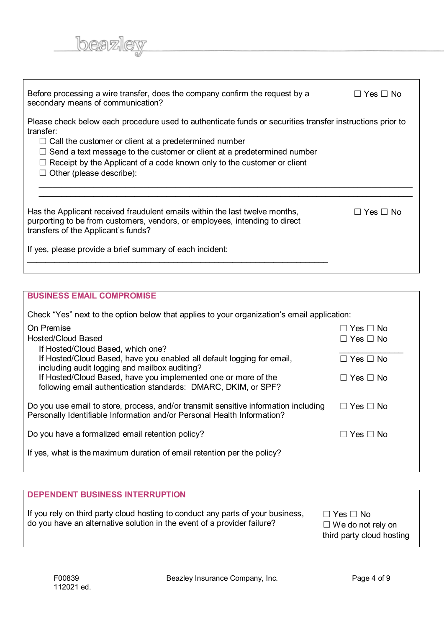| Before processing a wire transfer, does the company confirm the request by a<br>secondary means of communication?                                                                                                                                                                                                                                                                      | ⊟ Yes ⊟ No |
|----------------------------------------------------------------------------------------------------------------------------------------------------------------------------------------------------------------------------------------------------------------------------------------------------------------------------------------------------------------------------------------|------------|
| Please check below each procedure used to authenticate funds or securities transfer instructions prior to<br>transfer:<br>$\Box$ Call the customer or client at a predetermined number<br>$\Box$ Send a text message to the customer or client at a predetermined number<br>$\Box$ Receipt by the Applicant of a code known only to the customer or client<br>Other (please describe): |            |
| Has the Applicant received fraudulent emails within the last twelve months,<br>purporting to be from customers, vendors, or employees, intending to direct<br>transfers of the Applicant's funds?<br>If yes, please provide a brief summary of each incident:                                                                                                                          | ∣Yes ⊟ No  |

## **BUSINESS EMAIL COMPROMISE**

<u>beazley</u>

| <b>DEPENDENT BUSINESS INTERRUPTION</b>                                                                                                                     |                                                                               |
|------------------------------------------------------------------------------------------------------------------------------------------------------------|-------------------------------------------------------------------------------|
| If you rely on third party cloud hosting to conduct any parts of your business,<br>do you have an alternative solution in the event of a provider failure? | $\Box$ Yes $\Box$ No<br>$\Box$ We do not rely on<br>third party cloud hosting |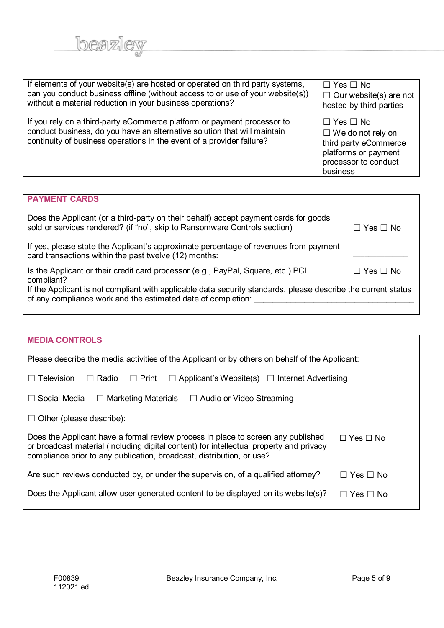| If elements of your website(s) are hosted or operated on third party systems,<br>can you conduct business offline (without access to or use of your website(s))<br>without a material reduction in your business operations? | $\Box$ Yes $\Box$ No<br>$\Box$ Our website(s) are not<br>hosted by third parties                                                      |
|------------------------------------------------------------------------------------------------------------------------------------------------------------------------------------------------------------------------------|---------------------------------------------------------------------------------------------------------------------------------------|
| If you rely on a third-party eCommerce platform or payment processor to<br>conduct business, do you have an alternative solution that will maintain<br>continuity of business operations in the event of a provider failure? | $\Box$ Yes $\Box$ No<br>$\Box$ We do not rely on<br>third party eCommerce<br>platforms or payment<br>processor to conduct<br>business |

<u>beazley</u>

| <b>PAYMENT CARDS</b>                                                                                                                                                          |                |
|-------------------------------------------------------------------------------------------------------------------------------------------------------------------------------|----------------|
| Does the Applicant (or a third-party on their behalf) accept payment cards for goods<br>sold or services rendered? (if "no", skip to Ransomware Controls section)             | $□$ Yes $□$ No |
| If yes, please state the Applicant's approximate percentage of revenues from payment<br>card transactions within the past twelve (12) months:                                 |                |
| Is the Applicant or their credit card processor (e.g., PayPal, Square, etc.) PCI<br>compliant?                                                                                | Yes □ No       |
| If the Applicant is not compliant with applicable data security standards, please describe the current status<br>of any compliance work and the estimated date of completion: |                |
|                                                                                                                                                                               |                |

| <b>MEDIA CONTROLS</b>                                                                                                                                                                                                                                                        |
|------------------------------------------------------------------------------------------------------------------------------------------------------------------------------------------------------------------------------------------------------------------------------|
| Please describe the media activities of the Applicant or by others on behalf of the Applicant:                                                                                                                                                                               |
| Television<br>$\Box$ Applicant's Website(s) $\Box$ Internet Advertising<br>Radio<br>$\Box$ Print<br>$\perp$                                                                                                                                                                  |
| Social Media<br>Marketing Materials $\square$ Audio or Video Streaming<br>$\perp$                                                                                                                                                                                            |
| Other (please describe):                                                                                                                                                                                                                                                     |
| Does the Applicant have a formal review process in place to screen any published<br>$\Box$ Yes $\Box$ No<br>or broadcast material (including digital content) for intellectual property and privacy<br>compliance prior to any publication, broadcast, distribution, or use? |
| Are such reviews conducted by, or under the supervision, of a qualified attorney?<br>$\Box$ Yes $\Box$ No                                                                                                                                                                    |
| Does the Applicant allow user generated content to be displayed on its website(s)?<br>$\Box$ Yes $\Box$ No                                                                                                                                                                   |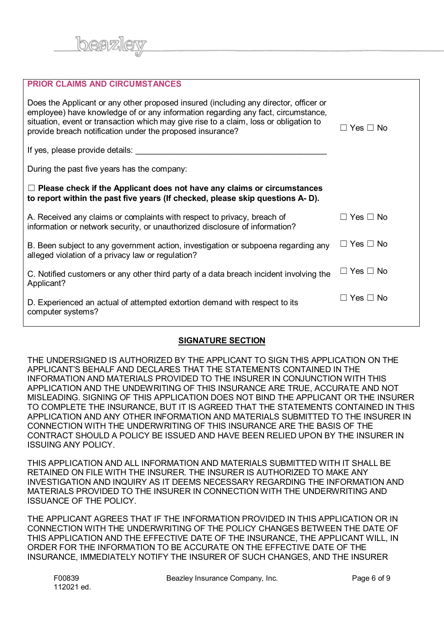

| <b>PRIOR CLAIMS AND CIRCUMSTANCES</b>                                                                                                                                                                                                                                                                                          |                      |
|--------------------------------------------------------------------------------------------------------------------------------------------------------------------------------------------------------------------------------------------------------------------------------------------------------------------------------|----------------------|
| Does the Applicant or any other proposed insured (including any director, officer or<br>employee) have knowledge of or any information regarding any fact, circumstance,<br>situation, event or transaction which may give rise to a claim, loss or obligation to<br>provide breach notification under the proposed insurance? | Yes $\Box$ No        |
| If yes, please provide details:                                                                                                                                                                                                                                                                                                |                      |
| During the past five years has the company:                                                                                                                                                                                                                                                                                    |                      |
| $\Box$ Please check if the Applicant does not have any claims or circumstances<br>to report within the past five years (If checked, please skip questions A-D).                                                                                                                                                                |                      |
| A. Received any claims or complaints with respect to privacy, breach of<br>information or network security, or unauthorized disclosure of information?                                                                                                                                                                         | コ Yes Π No           |
| B. Been subject to any government action, investigation or subpoena regarding any<br>alleged violation of a privacy law or regulation?                                                                                                                                                                                         | $\Box$ Yes $\Box$ No |
| C. Notified customers or any other third party of a data breach incident involving the<br>Applicant?                                                                                                                                                                                                                           | $\Box$ Yes $\Box$ No |
| D. Experienced an actual of attempted extortion demand with respect to its<br>computer systems?                                                                                                                                                                                                                                | $\Box$ Yes $\Box$ No |

### **SIGNATURE SECTION**

THE UNDERSIGNED IS AUTHORIZED BY THE APPLICANT TO SIGN THIS APPLICATION ON THE APPLICANT'S BEHALF AND DECLARES THAT THE STATEMENTS CONTAINED IN THE INFORMATION AND MATERIALS PROVIDED TO THE INSURER IN CONJUNCTION WITH THIS APPLICATION AND THE UNDEWRITING OF THIS INSURANCE ARE TRUE, ACCURATE AND NOT MISLEADING. SIGNING OF THIS APPLICATION DOES NOT BIND THE APPLICANT OR THE INSURER TO COMPLETE THE INSURANCE, BUT IT IS AGREED THAT THE STATEMENTS CONTAINED IN THIS APPLICATION AND ANY OTHER INFORMATION AND MATERIALS SUBMITTED TO THE INSURER IN CONNECTION WITH THE UNDERWRITING OF THIS INSURANCE ARE THE BASIS OF THE CONTRACT SHOULD A POLICY BE ISSUED AND HAVE BEEN RELIED UPON BY THE INSURER IN ISSUING ANY POLICY.

THIS APPLICATION AND ALL INFORMATION AND MATERIALS SUBMITTED WITH IT SHALL BE RETAINED ON FILE WITH THE INSURER. THE INSURER IS AUTHORIZED TO MAKE ANY INVESTIGATION AND INQUIRY AS IT DEEMS NECESSARY REGARDING THE INFORMATION AND MATERIALS PROVIDED TO THE INSURER IN CONNECTION WITH THE UNDERWRITING AND ISSUANCE OF THE POLICY.

THE APPLICANT AGREES THAT IF THE INFORMATION PROVIDED IN THIS APPLICATION OR IN CONNECTION WITH THE UNDERWRITING OF THE POLICY CHANGES BETWEEN THE DATE OF THIS APPLICATION AND THE EFFECTIVE DATE OF THE INSURANCE, THE APPLICANT WILL, IN ORDER FOR THE INFORMATION TO BE ACCURATE ON THE EFFECTIVE DATE OF THE INSURANCE, IMMEDIATELY NOTIFY THE INSURER OF SUCH CHANGES, AND THE INSURER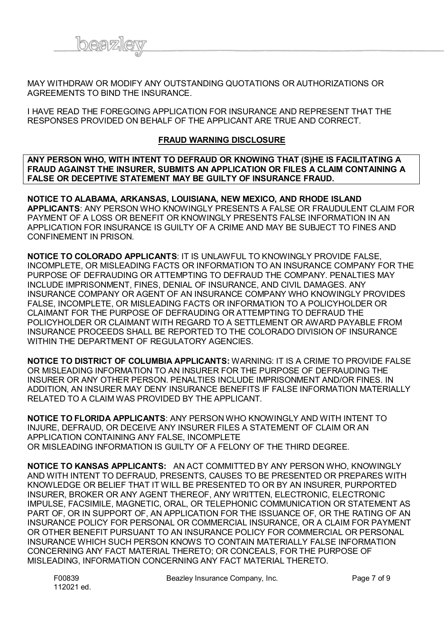

MAY WITHDRAW OR MODIFY ANY OUTSTANDING QUOTATIONS OR AUTHORIZATIONS OR AGREEMENTS TO BIND THE INSURANCE.

I HAVE READ THE FOREGOING APPLICATION FOR INSURANCE AND REPRESENT THAT THE RESPONSES PROVIDED ON BEHALF OF THE APPLICANT ARE TRUE AND CORRECT.

#### **FRAUD WARNING DISCLOSURE**

**ANY PERSON WHO, WITH INTENT TO DEFRAUD OR KNOWING THAT (S)HE IS FACILITATING A FRAUD AGAINST THE INSURER, SUBMITS AN APPLICATION OR FILES A CLAIM CONTAINING A FALSE OR DECEPTIVE STATEMENT MAY BE GUILTY OF INSURANCE FRAUD.**

**NOTICE TO ALABAMA, ARKANSAS, LOUISIANA, NEW MEXICO, AND RHODE ISLAND APPLICANTS**: ANY PERSON WHO KNOWINGLY PRESENTS A FALSE OR FRAUDULENT CLAIM FOR PAYMENT OF A LOSS OR BENEFIT OR KNOWINGLY PRESENTS FALSE INFORMATION IN AN APPLICATION FOR INSURANCE IS GUILTY OF A CRIME AND MAY BE SUBJECT TO FINES AND CONFINEMENT IN PRISON.

**NOTICE TO COLORADO APPLICANTS**: IT IS UNLAWFUL TO KNOWINGLY PROVIDE FALSE, INCOMPLETE, OR MISLEADING FACTS OR INFORMATION TO AN INSURANCE COMPANY FOR THE PURPOSE OF DEFRAUDING OR ATTEMPTING TO DEFRAUD THE COMPANY. PENALTIES MAY INCLUDE IMPRISONMENT, FINES, DENIAL OF INSURANCE, AND CIVIL DAMAGES. ANY INSURANCE COMPANY OR AGENT OF AN INSURANCE COMPANY WHO KNOWINGLY PROVIDES FALSE, INCOMPLETE, OR MISLEADING FACTS OR INFORMATION TO A POLICYHOLDER OR CLAIMANT FOR THE PURPOSE OF DEFRAUDING OR ATTEMPTING TO DEFRAUD THE POLICYHOLDER OR CLAIMANT WITH REGARD TO A SETTLEMENT OR AWARD PAYABLE FROM INSURANCE PROCEEDS SHALL BE REPORTED TO THE COLORADO DIVISION OF INSURANCE WITHIN THE DEPARTMENT OF REGULATORY AGENCIES.

**NOTICE TO DISTRICT OF COLUMBIA APPLICANTS:** WARNING: IT IS A CRIME TO PROVIDE FALSE OR MISLEADING INFORMATION TO AN INSURER FOR THE PURPOSE OF DEFRAUDING THE INSURER OR ANY OTHER PERSON. PENALTIES INCLUDE IMPRISONMENT AND/OR FINES. IN ADDITION, AN INSURER MAY DENY INSURANCE BENEFITS IF FALSE INFORMATION MATERIALLY RELATED TO A CLAIM WAS PROVIDED BY THE APPLICANT.

**NOTICE TO FLORIDA APPLICANTS**: ANY PERSON WHO KNOWINGLY AND WITH INTENT TO INJURE, DEFRAUD, OR DECEIVE ANY INSURER FILES A STATEMENT OF CLAIM OR AN APPLICATION CONTAINING ANY FALSE, INCOMPLETE OR MISLEADING INFORMATION IS GUILTY OF A FELONY OF THE THIRD DEGREE.

**NOTICE TO KANSAS APPLICANTS:** AN ACT COMMITTED BY ANY PERSON WHO, KNOWINGLY AND WITH INTENT TO DEFRAUD, PRESENTS, CAUSES TO BE PRESENTED OR PREPARES WITH KNOWLEDGE OR BELIEF THAT IT WILL BE PRESENTED TO OR BY AN INSURER, PURPORTED INSURER, BROKER OR ANY AGENT THEREOF, ANY WRITTEN, ELECTRONIC, ELECTRONIC IMPULSE, FACSIMILE, MAGNETIC, ORAL, OR TELEPHONIC COMMUNICATION OR STATEMENT AS PART OF, OR IN SUPPORT OF, AN APPLICATION FOR THE ISSUANCE OF, OR THE RATING OF AN INSURANCE POLICY FOR PERSONAL OR COMMERCIAL INSURANCE, OR A CLAIM FOR PAYMENT OR OTHER BENEFIT PURSUANT TO AN INSURANCE POLICY FOR COMMERCIAL OR PERSONAL INSURANCE WHICH SUCH PERSON KNOWS TO CONTAIN MATERIALLY FALSE INFORMATION CONCERNING ANY FACT MATERIAL THERETO; OR CONCEALS, FOR THE PURPOSE OF MISLEADING, INFORMATION CONCERNING ANY FACT MATERIAL THERETO.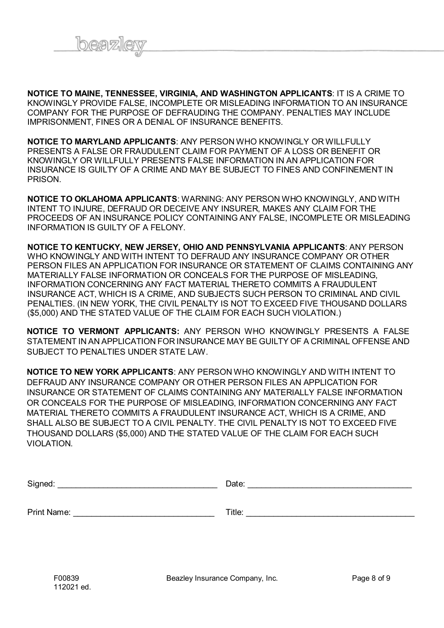

**NOTICE TO MAINE, TENNESSEE, VIRGINIA, AND WASHINGTON APPLICANTS**: IT IS A CRIME TO KNOWINGLY PROVIDE FALSE, INCOMPLETE OR MISLEADING INFORMATION TO AN INSURANCE COMPANY FOR THE PURPOSE OF DEFRAUDING THE COMPANY. PENALTIES MAY INCLUDE IMPRISONMENT, FINES OR A DENIAL OF INSURANCE BENEFITS.

**NOTICE TO MARYLAND APPLICANTS**: ANY PERSON WHO KNOWINGLY OR WILLFULLY PRESENTS A FALSE OR FRAUDULENT CLAIM FOR PAYMENT OF A LOSS OR BENEFIT OR KNOWINGLY OR WILLFULLY PRESENTS FALSE INFORMATION IN AN APPLICATION FOR INSURANCE IS GUILTY OF A CRIME AND MAY BE SUBJECT TO FINES AND CONFINEMENT IN PRISON.

**NOTICE TO OKLAHOMA APPLICANTS**: WARNING: ANY PERSON WHO KNOWINGLY, AND WITH INTENT TO INJURE, DEFRAUD OR DECEIVE ANY INSURER, MAKES ANY CLAIM FOR THE PROCEEDS OF AN INSURANCE POLICY CONTAINING ANY FALSE, INCOMPLETE OR MISLEADING INFORMATION IS GUILTY OF A FELONY.

**NOTICE TO KENTUCKY, NEW JERSEY, OHIO AND PENNSYLVANIA APPLICANTS**: ANY PERSON WHO KNOWINGLY AND WITH INTENT TO DEFRAUD ANY INSURANCE COMPANY OR OTHER PERSON FILES AN APPLICATION FOR INSURANCE OR STATEMENT OF CLAIMS CONTAINING ANY MATERIALLY FALSE INFORMATION OR CONCEALS FOR THE PURPOSE OF MISLEADING, INFORMATION CONCERNING ANY FACT MATERIAL THERETO COMMITS A FRAUDULENT INSURANCE ACT, WHICH IS A CRIME, AND SUBJECTS SUCH PERSON TO CRIMINAL AND CIVIL PENALTIES. (IN NEW YORK, THE CIVIL PENALTY IS NOT TO EXCEED FIVE THOUSAND DOLLARS (\$5,000) AND THE STATED VALUE OF THE CLAIM FOR EACH SUCH VIOLATION.)

**NOTICE TO VERMONT APPLICANTS:** ANY PERSON WHO KNOWINGLY PRESENTS A FALSE STATEMENT IN AN APPLICATION FOR INSURANCE MAY BE GUILTY OF A CRIMINAL OFFENSE AND SUBJECT TO PENALTIES UNDER STATE LAW.

**NOTICE TO NEW YORK APPLICANTS**: ANY PERSON WHO KNOWINGLY AND WITH INTENT TO DEFRAUD ANY INSURANCE COMPANY OR OTHER PERSON FILES AN APPLICATION FOR INSURANCE OR STATEMENT OF CLAIMS CONTAINING ANY MATERIALLY FALSE INFORMATION OR CONCEALS FOR THE PURPOSE OF MISLEADING, INFORMATION CONCERNING ANY FACT MATERIAL THERETO COMMITS A FRAUDULENT INSURANCE ACT, WHICH IS A CRIME, AND SHALL ALSO BE SUBJECT TO A CIVIL PENALTY. THE CIVIL PENALTY IS NOT TO EXCEED FIVE THOUSAND DOLLARS (\$5,000) AND THE STATED VALUE OF THE CLAIM FOR EACH SUCH VIOLATION.

| Signed:     | Date:  |
|-------------|--------|
|             |        |
| Print Name: | Title: |